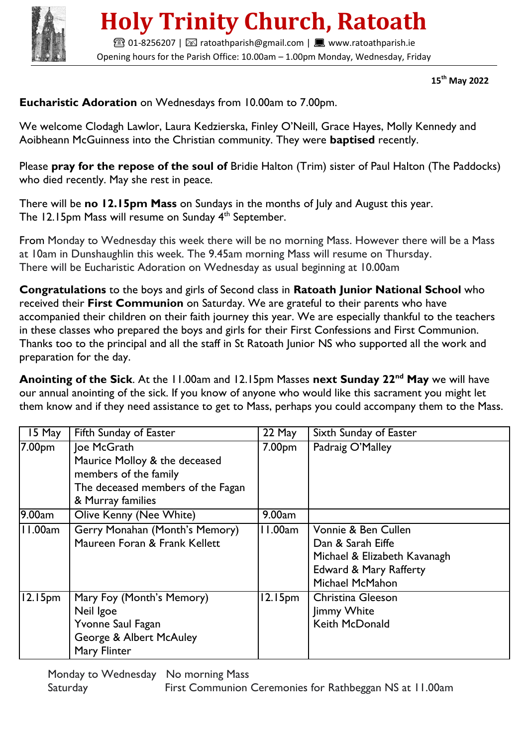

## **Holy Trinity Church, Ratoath**

**■01-8256207 | ⊠ ratoathparish@gmail.com | ■ www.ratoathparish.ie** Opening hours for the Parish Office: 10.00am – 1.00pm Monday, Wednesday, Friday

 **15th May 2022**

**Eucharistic Adoration** on Wednesdays from 10.00am to 7.00pm.

We welcome Clodagh Lawlor, Laura Kedzierska, Finley O'Neill, Grace Hayes, Molly Kennedy and Aoibheann McGuinness into the Christian community. They were **baptised** recently.

Please **pray for the repose of the soul of** Bridie Halton (Trim) sister of Paul Halton (The Paddocks) who died recently. May she rest in peace.

There will be **no 12.15pm Mass** on Sundays in the months of July and August this year. The 12.15pm Mass will resume on Sunday 4<sup>th</sup> September.

From Monday to Wednesday this week there will be no morning Mass. However there will be a Mass at 10am in Dunshaughlin this week. The 9.45am morning Mass will resume on Thursday. There will be Eucharistic Adoration on Wednesday as usual beginning at 10.00am

**Congratulations** to the boys and girls of Second class in **Ratoath Junior National School** who received their **First Communion** on Saturday. We are grateful to their parents who have accompanied their children on their faith journey this year. We are especially thankful to the teachers in these classes who prepared the boys and girls for their First Confessions and First Communion. Thanks too to the principal and all the staff in St Ratoath Junior NS who supported all the work and preparation for the day.

**Anointing of the Sick**. At the 11.00am and 12.15pm Masses **next Sunday 22nd May** we will have our annual anointing of the sick. If you know of anyone who would like this sacrament you might let them know and if they need assistance to get to Mass, perhaps you could accompany them to the Mass.

| 15 May              | Fifth Sunday of Easter                                                                                                          | 22 May              | Sixth Sunday of Easter                                                                                                |
|---------------------|---------------------------------------------------------------------------------------------------------------------------------|---------------------|-----------------------------------------------------------------------------------------------------------------------|
| 7.00pm              | Joe McGrath<br>Maurice Molloy & the deceased<br>members of the family<br>The deceased members of the Fagan<br>& Murray families | 7.00pm              | Padraig O'Malley                                                                                                      |
| 9.00am              | Olive Kenny (Nee White)                                                                                                         | 9.00am              |                                                                                                                       |
| 11.00am             | Gerry Monahan (Month's Memory)<br>Maureen Foran & Frank Kellett                                                                 | 11.00am             | Vonnie & Ben Cullen<br>Dan & Sarah Eiffe<br>Michael & Elizabeth Kavanagh<br>Edward & Mary Rafferty<br>Michael McMahon |
| 12.15 <sub>pm</sub> | Mary Foy (Month's Memory)<br>Neil Igoe<br>Yvonne Saul Fagan<br>George & Albert McAuley<br>Mary Flinter                          | 12.15 <sub>pm</sub> | Christina Gleeson<br>Jimmy White<br><b>Keith McDonald</b>                                                             |

 Monday to Wednesday No morning Mass Saturday **First Communion Ceremonies for Rathbeggan NS at 11.00am**